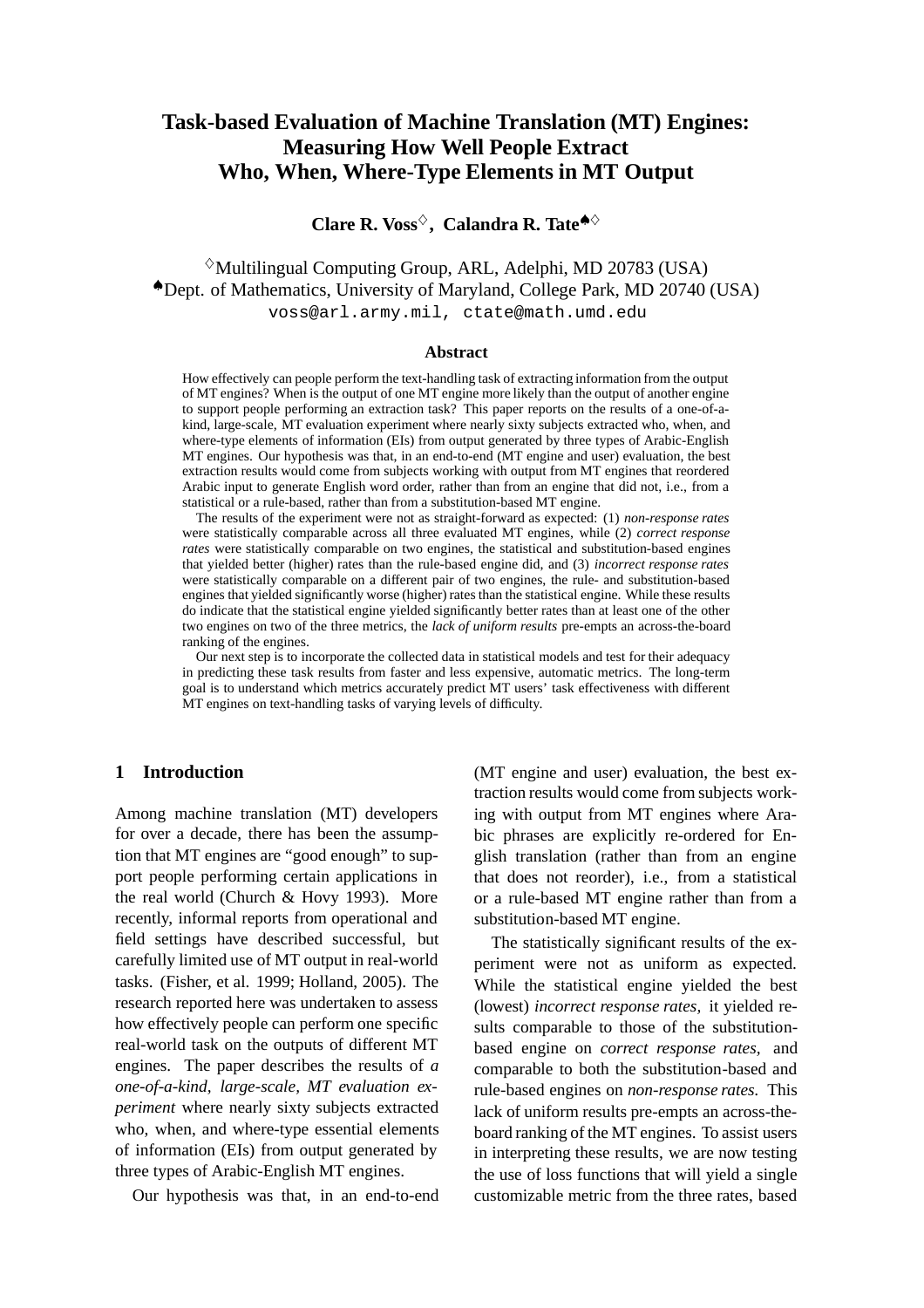# **Task-based Evaluation of Machine Translation (MT) Engines: Measuring How Well People Extract Who, When, Where-Type Elements in MT Output**

**Clare R. Voss**<sup> $\diamond$ </sup>, **Calandra R. Tate**<sup> $\triangle$ </sup>

 $\Diamond$ Multilingual Computing Group, ARL, Adelphi, MD 20783 (USA) ♠Dept. of Mathematics, University of Maryland, College Park, MD 20740 (USA) voss@arl.army.mil, ctate@math.umd.edu

#### **Abstract**

How effectively can people perform the text-handling task of extracting information from the output of MT engines? When is the output of one MT engine more likely than the output of another engine to support people performing an extraction task? This paper reports on the results of a one-of-akind, large-scale, MT evaluation experiment where nearly sixty subjects extracted who, when, and where-type elements of information (EIs) from output generated by three types of Arabic-English MT engines. Our hypothesis was that, in an end-to-end (MT engine and user) evaluation, the best extraction results would come from subjects working with output from MT engines that reordered Arabic input to generate English word order, rather than from an engine that did not, i.e., from a statistical or a rule-based, rather than from a substitution-based MT engine.

The results of the experiment were not as straight-forward as expected: (1) *non-response rates* were statistically comparable across all three evaluated MT engines, while (2) *correct response rates* were statistically comparable on two engines, the statistical and substitution-based engines that yielded better (higher) rates than the rule-based engine did, and (3) *incorrect response rates* were statistically comparable on a different pair of two engines, the rule- and substitution-based engines that yielded significantly worse (higher) rates than the statistical engine. While these results do indicate that the statistical engine yielded significantly better rates than at least one of the other two engines on two of the three metrics, the *lack of uniform results* pre-empts an across-the-board ranking of the engines.

Our next step is to incorporate the collected data in statistical models and test for their adequacy in predicting these task results from faster and less expensive, automatic metrics. The long-term goal is to understand which metrics accurately predict MT users' task effectiveness with different MT engines on text-handling tasks of varying levels of difficulty.

# **1 Introduction**

Among machine translation (MT) developers for over a decade, there has been the assumption that MT engines are "good enough" to support people performing certain applications in the real world (Church & Hovy 1993). More recently, informal reports from operational and field settings have described successful, but carefully limited use of MT output in real-world tasks. (Fisher, et al. 1999; Holland, 2005). The research reported here was undertaken to assess how effectively people can perform one specific real-world task on the outputs of different MT engines. The paper describes the results of *a one-of-a-kind, large-scale, MT evaluation experiment* where nearly sixty subjects extracted who, when, and where-type essential elements of information (EIs) from output generated by three types of Arabic-English MT engines.

Our hypothesis was that, in an end-to-end

(MT engine and user) evaluation, the best extraction results would come from subjects working with output from MT engines where Arabic phrases are explicitly re-ordered for English translation (rather than from an engine that does not reorder), i.e., from a statistical or a rule-based MT engine rather than from a substitution-based MT engine.

The statistically significant results of the experiment were not as uniform as expected. While the statistical engine yielded the best (lowest) *incorrect response rates,* it yielded results comparable to those of the substitutionbased engine on *correct response rates,* and comparable to both the substitution-based and rule-based engines on *non-response rates.* This lack of uniform results pre-empts an across-theboard ranking of the MT engines. To assist users in interpreting these results, we are now testing the use of loss functions that will yield a single customizable metric from the three rates, based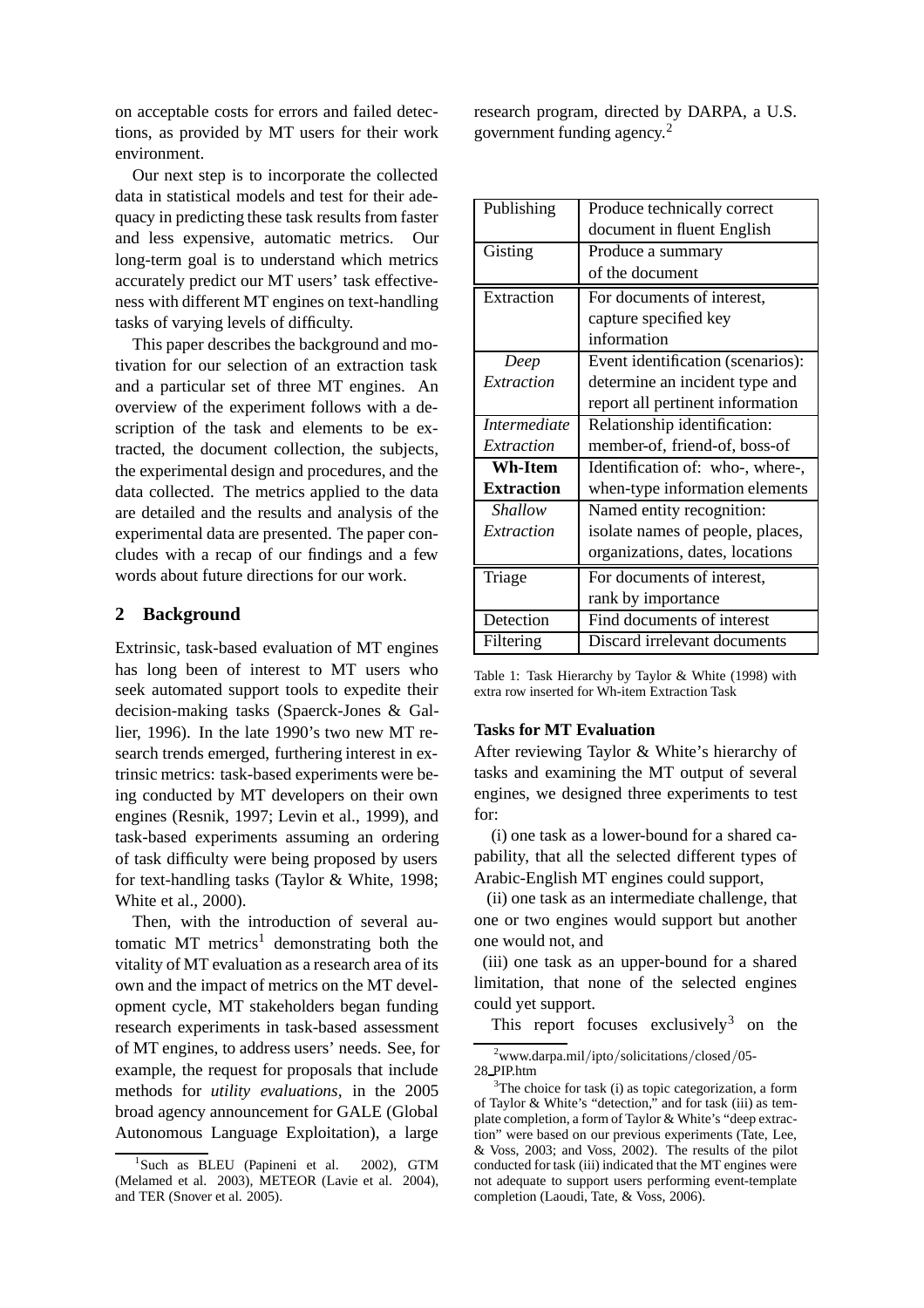on acceptable costs for errors and failed detections, as provided by MT users for their work environment.

Our next step is to incorporate the collected data in statistical models and test for their adequacy in predicting these task results from faster and less expensive, automatic metrics. Our long-term goal is to understand which metrics accurately predict our MT users' task effectiveness with different MT engines on text-handling tasks of varying levels of difficulty.

This paper describes the background and motivation for our selection of an extraction task and a particular set of three MT engines. An overview of the experiment follows with a description of the task and elements to be extracted, the document collection, the subjects, the experimental design and procedures, and the data collected. The metrics applied to the data are detailed and the results and analysis of the experimental data are presented. The paper concludes with a recap of our findings and a few words about future directions for our work.

# **2 Background**

Extrinsic, task-based evaluation of MT engines has long been of interest to MT users who seek automated support tools to expedite their decision-making tasks (Spaerck-Jones & Gallier, 1996). In the late 1990's two new MT research trends emerged, furthering interest in extrinsic metrics: task-based experiments were being conducted by MT developers on their own engines (Resnik, 1997; Levin et al., 1999), and task-based experiments assuming an ordering of task difficulty were being proposed by users for text-handling tasks (Taylor & White, 1998; White et al., 2000).

Then, with the introduction of several automatic  $MT$  metrics<sup>1</sup> demonstrating both the vitality of MT evaluation as a research area of its own and the impact of metrics on the MT development cycle, MT stakeholders began funding research experiments in task-based assessment of MT engines, to address users' needs. See, for example, the request for proposals that include methods for *utility evaluations,* in the 2005 broad agency announcement for GALE (Global Autonomous Language Exploitation), a large research program, directed by DARPA, a U.S. government funding agency.<sup>2</sup>

| Publishing          | Produce technically correct       |  |
|---------------------|-----------------------------------|--|
|                     | document in fluent English        |  |
| Gisting             | Produce a summary                 |  |
|                     | of the document                   |  |
| Extraction          | For documents of interest,        |  |
|                     | capture specified key             |  |
|                     | information                       |  |
| Deep                | Event identification (scenarios): |  |
| Extraction          | determine an incident type and    |  |
|                     | report all pertinent information  |  |
| <i>Intermediate</i> | Relationship identification:      |  |
| Extraction          | member-of, friend-of, boss-of     |  |
| <b>Wh-Item</b>      | Identification of: who-, where-,  |  |
| <b>Extraction</b>   | when-type information elements    |  |
| Shallow             | Named entity recognition:         |  |
| Extraction          | isolate names of people, places,  |  |
|                     | organizations, dates, locations   |  |
| Triage              | For documents of interest,        |  |
|                     | rank by importance                |  |
| Detection           | Find documents of interest        |  |
| Filtering           | Discard irrelevant documents      |  |

Table 1: Task Hierarchy by Taylor & White (1998) with extra row inserted for Wh-item Extraction Task

#### **Tasks for MT Evaluation**

After reviewing Taylor & White's hierarchy of tasks and examining the MT output of several engines, we designed three experiments to test for:

(i) one task as a lower-bound for a shared capability, that all the selected different types of Arabic-English MT engines could support,

(ii) one task as an intermediate challenge, that one or two engines would support but another one would not, and

(iii) one task as an upper-bound for a shared limitation, that none of the selected engines could yet support.

This report focuses exclusively<sup>3</sup> on the

<sup>&</sup>lt;sup>1</sup>Such as BLEU (Papineni et al. 2002), GTM (Melamed et al. 2003), METEOR (Lavie et al. 2004), and TER (Snover et al. 2005).

<sup>2</sup> www.darpa.mil/ipto/solicitations/closed/05- 28 PIP.htm

 $3$ The choice for task (i) as topic categorization, a form of Taylor & White's "detection," and for task (iii) as template completion, a form of Taylor & White's "deep extraction" were based on our previous experiments (Tate, Lee, & Voss, 2003; and Voss, 2002). The results of the pilot conducted for task (iii) indicated that the MT engines were not adequate to support users performing event-template completion (Laoudi, Tate, & Voss, 2006).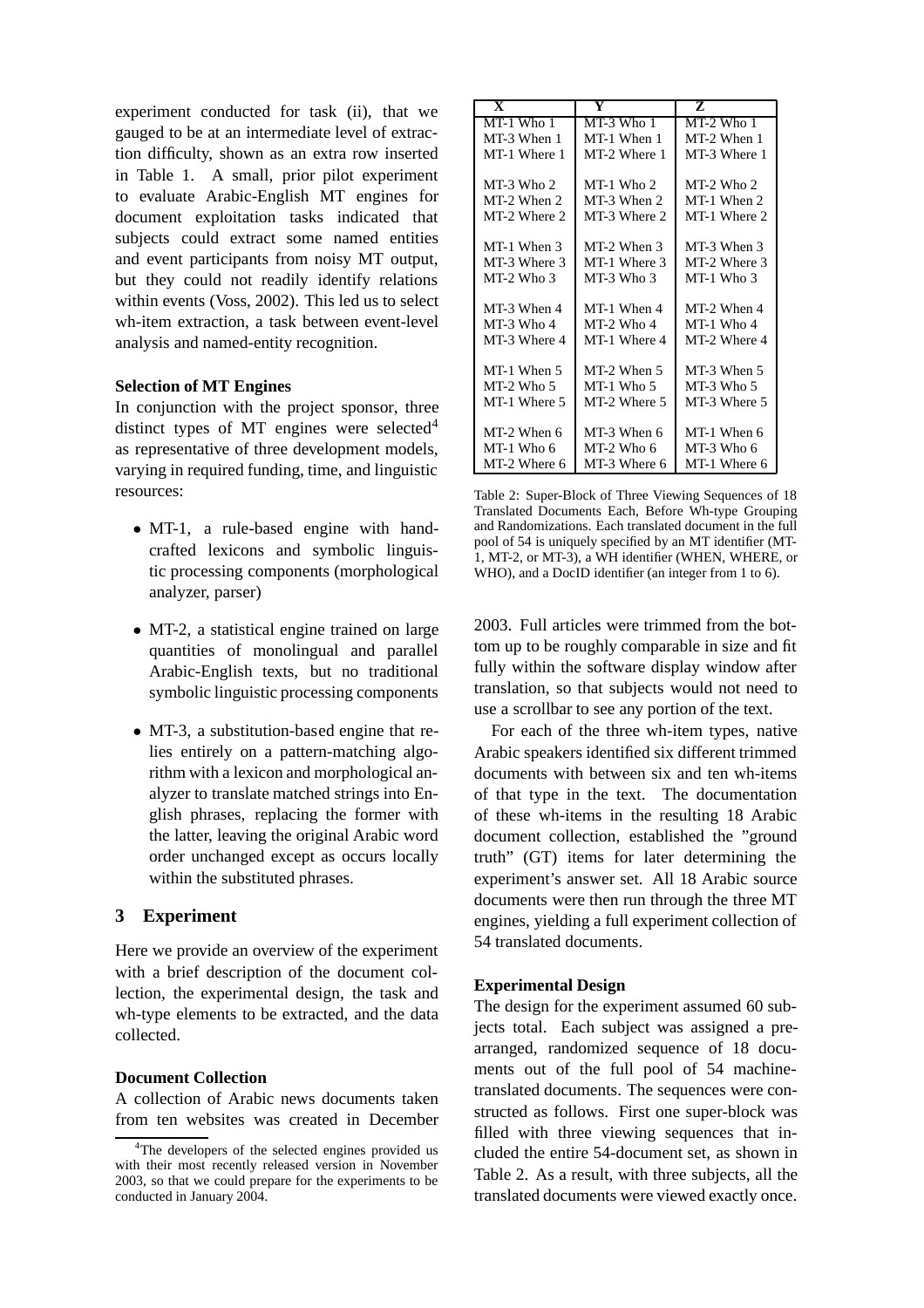experiment conducted for task (ii), that we gauged to be at an intermediate level of extraction difficulty, shown as an extra row inserted in Table 1. A small, prior pilot experiment to evaluate Arabic-English MT engines for document exploitation tasks indicated that subjects could extract some named entities and event participants from noisy MT output, but they could not readily identify relations within events (Voss, 2002). This led us to select wh-item extraction, a task between event-level analysis and named-entity recognition.

#### **Selection of MT Engines**

In conjunction with the project sponsor, three distinct types of MT engines were selected<sup>4</sup> as representative of three development models, varying in required funding, time, and linguistic resources:

- MT-1, a rule-based engine with handcrafted lexicons and symbolic linguistic processing components (morphological analyzer, parser)
- MT-2, a statistical engine trained on large quantities of monolingual and parallel Arabic-English texts, but no traditional symbolic linguistic processing components
- MT-3, a substitution-based engine that relies entirely on a pattern-matching algorithm with a lexicon and morphological analyzer to translate matched strings into English phrases, replacing the former with the latter, leaving the original Arabic word order unchanged except as occurs locally within the substituted phrases.

# **3 Experiment**

Here we provide an overview of the experiment with a brief description of the document collection, the experimental design, the task and wh-type elements to be extracted, and the data collected.

## **Document Collection**

A collection of Arabic news documents taken from ten websites was created in December

| $\overline{\mathbf{X}}$ | Y            | Z              |
|-------------------------|--------------|----------------|
| MT-1 Who 1              | MT-3 Who 1   | $MT-2$ Who 1   |
| MT-3 When 1             | MT-1 When 1  | MT-2 When 1    |
| MT-1 Where 1            | MT-2 Where 1 | MT-3 Where 1   |
|                         |              |                |
| MT-3 Who 2              | $MT-1$ Who 2 | MT-2 Who 2     |
| MT-2 When 2             | MT-3 When 2  | $MT-1$ When 2. |
| MT-2 Where 2            | MT-3 Where 2 | MT-1 Where 2   |
|                         |              |                |
| MT-1 When 3             | MT-2 When 3  | MT-3 When 3    |
| MT-3 Where 3            | MT-1 Where 3 | MT-2 Where 3   |
| $MT-2$ Who 3            | $MT-3$ Who 3 | $MT-1$ Who 3   |
|                         |              |                |
| MT-3 When 4             | MT-1 When 4  | MT-2 When 4    |
| MT-3 Who 4              | $MT-2$ Who 4 | MT-1 Who 4     |
| MT-3 Where 4            | MT-1 Where 4 | MT-2 Where 4   |
|                         |              |                |
| MT-1 When 5             | MT-2 When 5  | MT-3 When 5    |
| $MT-2$ Who 5            | $MT-1$ Who 5 | $MT-3$ Who 5   |
| MT-1 Where 5            | MT-2 Where 5 | MT-3 Where 5   |
|                         |              |                |
| MT-2 When 6             | MT-3 When 6  | MT-1 When 6    |
| $MT-1$ Who 6            | MT-2 Who 6   | MT-3 Who 6     |
| MT-2 Where 6            | MT-3 Where 6 | MT-1 Where 6   |

Table 2: Super-Block of Three Viewing Sequences of 18 Translated Documents Each, Before Wh-type Grouping and Randomizations. Each translated document in the full pool of 54 is uniquely specified by an MT identifier (MT-1, MT-2, or MT-3), a WH identifier (WHEN, WHERE, or WHO), and a DocID identifier (an integer from 1 to 6).

2003. Full articles were trimmed from the bottom up to be roughly comparable in size and fit fully within the software display window after translation, so that subjects would not need to use a scrollbar to see any portion of the text.

For each of the three wh-item types, native Arabic speakers identified six different trimmed documents with between six and ten wh-items of that type in the text. The documentation of these wh-items in the resulting 18 Arabic document collection, established the "ground truth" (GT) items for later determining the experiment's answer set. All 18 Arabic source documents were then run through the three MT engines, yielding a full experiment collection of 54 translated documents.

## **Experimental Design**

The design for the experiment assumed 60 subjects total. Each subject was assigned a prearranged, randomized sequence of 18 documents out of the full pool of 54 machinetranslated documents. The sequences were constructed as follows. First one super-block was filled with three viewing sequences that included the entire 54-document set, as shown in Table 2. As a result, with three subjects, all the translated documents were viewed exactly once.

<sup>&</sup>lt;sup>4</sup>The developers of the selected engines provided us with their most recently released version in November 2003, so that we could prepare for the experiments to be conducted in January 2004.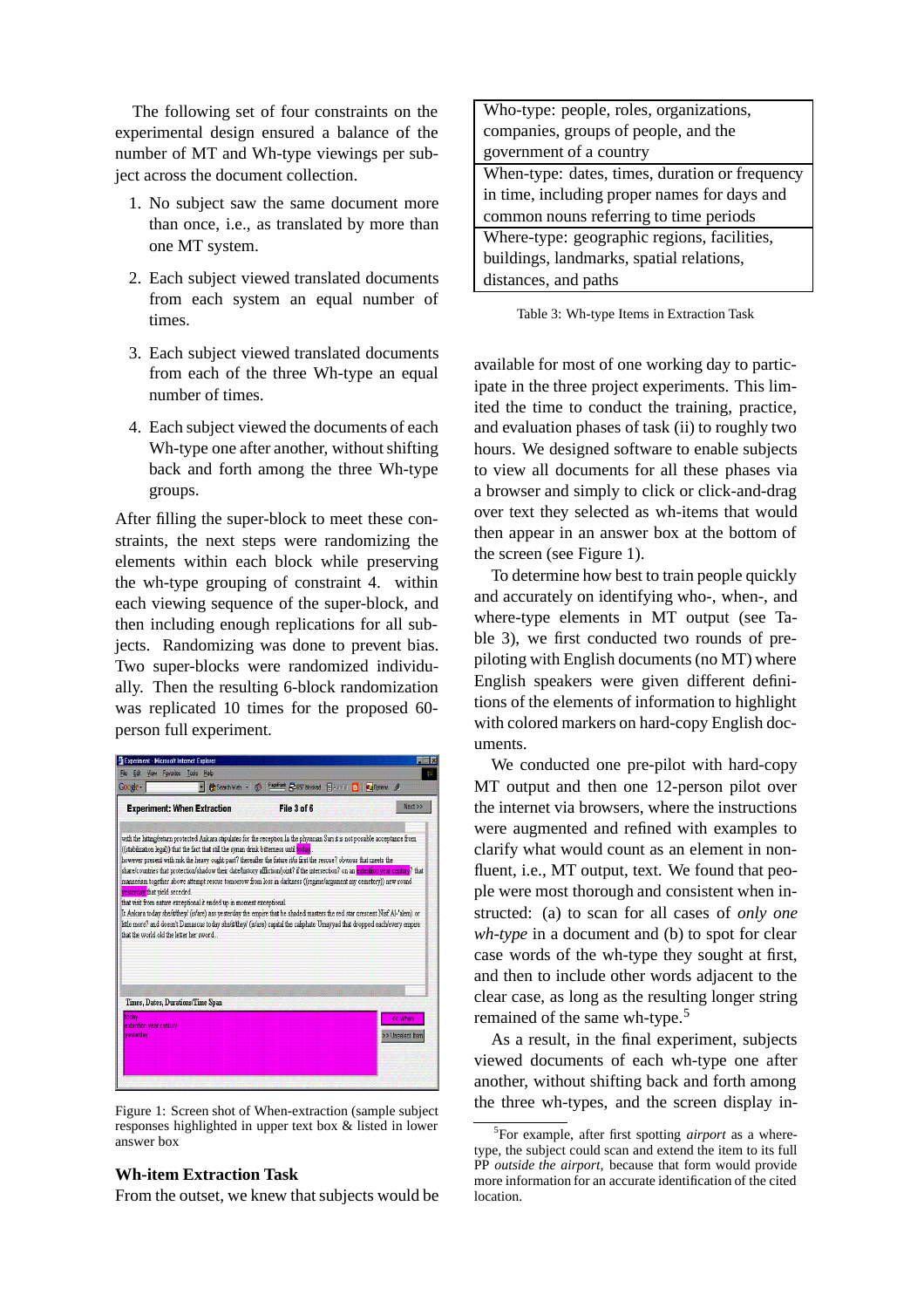The following set of four constraints on the experimental design ensured a balance of the number of MT and Wh-type viewings per subject across the document collection.

- 1. No subject saw the same document more than once, i.e., as translated by more than one MT system.
- 2. Each subject viewed translated documents from each system an equal number of times.
- 3. Each subject viewed translated documents from each of the three Wh-type an equal number of times.
- 4. Each subject viewed the documents of each Wh-type one after another, without shifting back and forth among the three Wh-type groups.

After filling the super-block to meet these constraints, the next steps were randomizing the elements within each block while preserving the wh-type grouping of constraint 4. within each viewing sequence of the super-block, and then including enough replications for all subjects. Randomizing was done to prevent bias. Two super-blocks were randomized individually. Then the resulting 6-block randomization was replicated 10 times for the proposed 60 person full experiment.



Figure 1: Screen shot of When-extraction (sample subject responses highlighted in upper text box & listed in lower answer box

#### **Wh-item Extraction Task**

From the outset, we knew that subjects would be

| Who-type: people, roles, organizations,        |  |  |  |
|------------------------------------------------|--|--|--|
| companies, groups of people, and the           |  |  |  |
| government of a country                        |  |  |  |
| When-type: dates, times, duration or frequency |  |  |  |
| in time, including proper names for days and   |  |  |  |
| common nouns referring to time periods         |  |  |  |
| Where-type: geographic regions, facilities,    |  |  |  |
| buildings, landmarks, spatial relations,       |  |  |  |
| distances, and paths                           |  |  |  |
|                                                |  |  |  |

Table 3: Wh-type Items in Extraction Task

available for most of one working day to participate in the three project experiments. This limited the time to conduct the training, practice, and evaluation phases of task (ii) to roughly two hours. We designed software to enable subjects to view all documents for all these phases via a browser and simply to click or click-and-drag over text they selected as wh-items that would then appear in an answer box at the bottom of the screen (see Figure 1).

To determine how best to train people quickly and accurately on identifying who-, when-, and where-type elements in MT output (see Table 3), we first conducted two rounds of prepiloting with English documents (no MT) where English speakers were given different definitions of the elements of information to highlight with colored markers on hard-copy English documents.

We conducted one pre-pilot with hard-copy MT output and then one 12-person pilot over the internet via browsers, where the instructions were augmented and refined with examples to clarify what would count as an element in nonfluent, i.e., MT output, text. We found that people were most thorough and consistent when instructed: (a) to scan for all cases of *only one wh-type* in a document and (b) to spot for clear case words of the wh-type they sought at first, and then to include other words adjacent to the clear case, as long as the resulting longer string remained of the same wh-type.<sup>5</sup>

As a result, in the final experiment, subjects viewed documents of each wh-type one after another, without shifting back and forth among the three wh-types, and the screen display in-

<sup>5</sup> For example, after first spotting *airport* as a wheretype, the subject could scan and extend the item to its full PP *outside the airport,* because that form would provide more information for an accurate identification of the cited location.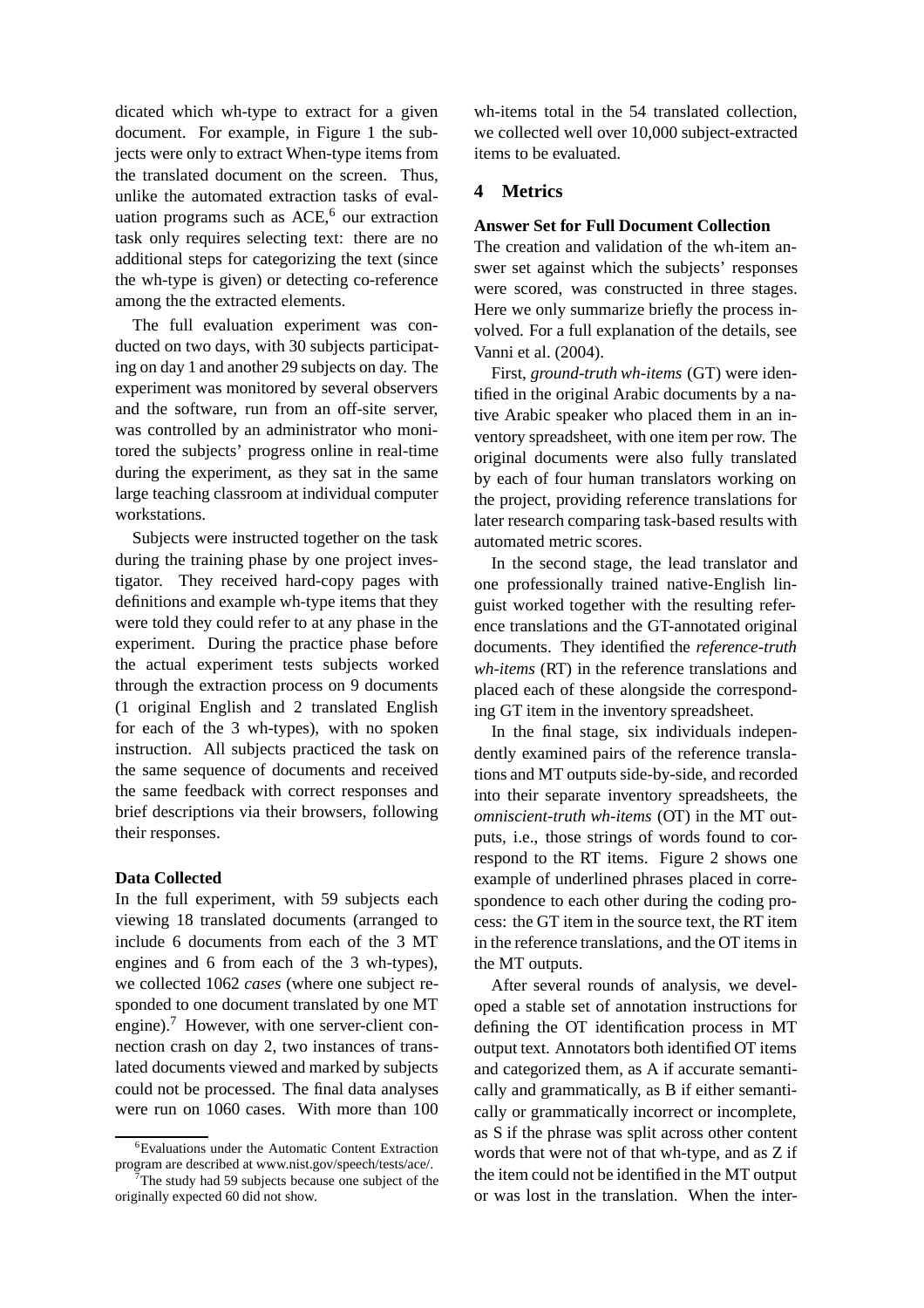dicated which wh-type to extract for a given document. For example, in Figure 1 the subjects were only to extract When-type items from the translated document on the screen. Thus, unlike the automated extraction tasks of evaluation programs such as  $ACE<sup>6</sup>$  our extraction task only requires selecting text: there are no additional steps for categorizing the text (since the wh-type is given) or detecting co-reference among the the extracted elements.

The full evaluation experiment was conducted on two days, with 30 subjects participating on day 1 and another 29 subjects on day. The experiment was monitored by several observers and the software, run from an off-site server, was controlled by an administrator who monitored the subjects' progress online in real-time during the experiment, as they sat in the same large teaching classroom at individual computer workstations.

Subjects were instructed together on the task during the training phase by one project investigator. They received hard-copy pages with definitions and example wh-type items that they were told they could refer to at any phase in the experiment. During the practice phase before the actual experiment tests subjects worked through the extraction process on 9 documents (1 original English and 2 translated English for each of the 3 wh-types), with no spoken instruction. All subjects practiced the task on the same sequence of documents and received the same feedback with correct responses and brief descriptions via their browsers, following their responses.

## **Data Collected**

In the full experiment, with 59 subjects each viewing 18 translated documents (arranged to include 6 documents from each of the 3 MT engines and 6 from each of the 3 wh-types), we collected 1062 *cases* (where one subject responded to one document translated by one MT engine).<sup>7</sup> However, with one server-client connection crash on day 2, two instances of translated documents viewed and marked by subjects could not be processed. The final data analyses were run on 1060 cases. With more than 100

wh-items total in the 54 translated collection, we collected well over 10,000 subject-extracted items to be evaluated.

## **4 Metrics**

#### **Answer Set for Full Document Collection**

The creation and validation of the wh-item answer set against which the subjects' responses were scored, was constructed in three stages. Here we only summarize briefly the process involved. For a full explanation of the details, see Vanni et al. (2004).

First, *ground-truth wh-items* (GT) were identified in the original Arabic documents by a native Arabic speaker who placed them in an inventory spreadsheet, with one item per row. The original documents were also fully translated by each of four human translators working on the project, providing reference translations for later research comparing task-based results with automated metric scores.

In the second stage, the lead translator and one professionally trained native-English linguist worked together with the resulting reference translations and the GT-annotated original documents. They identified the *reference-truth wh-items* (RT) in the reference translations and placed each of these alongside the corresponding GT item in the inventory spreadsheet.

In the final stage, six individuals independently examined pairs of the reference translations and MT outputs side-by-side, and recorded into their separate inventory spreadsheets, the *omniscient-truth wh-items* (OT) in the MT outputs, i.e., those strings of words found to correspond to the RT items. Figure 2 shows one example of underlined phrases placed in correspondence to each other during the coding process: the GT item in the source text, the RT item in the reference translations, and the OT items in the MT outputs.

After several rounds of analysis, we developed a stable set of annotation instructions for defining the OT identification process in MT output text. Annotators both identified OT items and categorized them, as A if accurate semantically and grammatically, as B if either semantically or grammatically incorrect or incomplete, as S if the phrase was split across other content words that were not of that wh-type, and as Z if the item could not be identified in the MT output or was lost in the translation. When the inter-

<sup>6</sup>Evaluations under the Automatic Content Extraction program are described at www.nist.gov/speech/tests/ace/.

<sup>7</sup> The study had 59 subjects because one subject of the originally expected 60 did not show.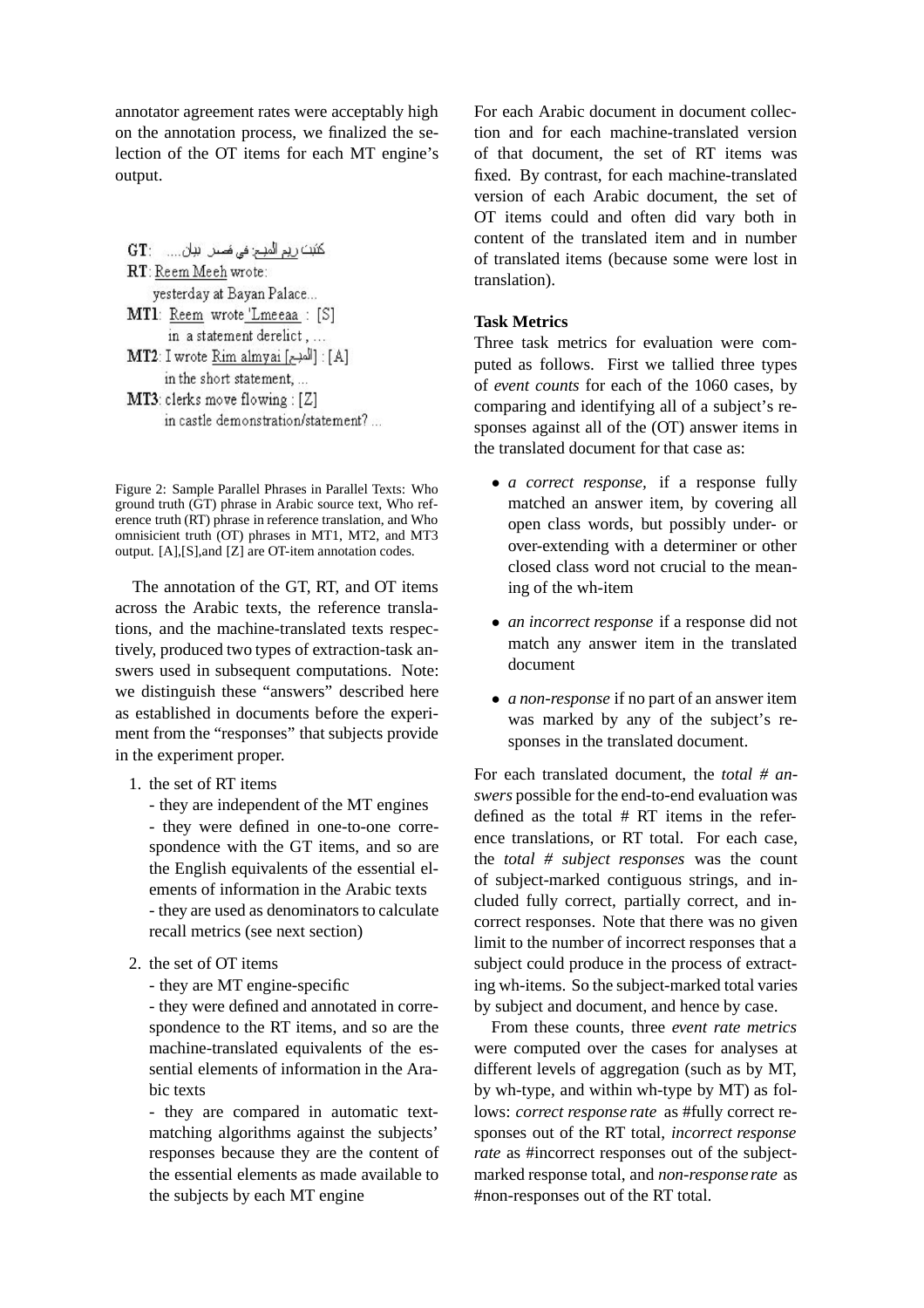annotator agreement rates were acceptably high on the annotation process, we finalized the selection of the OT items for each MT engine's output.

كَتَبَتَ رِيمِ الْمَبِينِ فِي هَصِيلِ اللهِ اللهِ ... . . : GT RT: Reem Meeh wrote: yesterday at Bayan Palace... MT1: Reem wrote 'Lmeeaa : [S] in a statement derelict.... [A] : [المبح] MT2: I wrote Rim almyai in the short statement, ... MT3: clerks move flowing : [Z] in castle demonstration/statement?...

Figure 2: Sample Parallel Phrases in Parallel Texts: Who ground truth  $(\hat{G}T)$  phrase in Arabic source text, Who reference truth (RT) phrase in reference translation, and Who omnisicient truth (OT) phrases in MT1, MT2, and MT3 output. [A],[S],and [Z] are OT-item annotation codes.

The annotation of the GT, RT, and OT items across the Arabic texts, the reference translations, and the machine-translated texts respectively, produced two types of extraction-task answers used in subsequent computations. Note: we distinguish these "answers" described here as established in documents before the experiment from the "responses" that subjects provide in the experiment proper.

1. the set of RT items

- they are independent of the MT engines - they were defined in one-to-one correspondence with the GT items, and so are the English equivalents of the essential elements of information in the Arabic texts - they are used as denominators to calculate recall metrics (see next section)

- 2. the set of OT items
	- they are MT engine-specific

- they were defined and annotated in correspondence to the RT items, and so are the machine-translated equivalents of the essential elements of information in the Arabic texts

- they are compared in automatic textmatching algorithms against the subjects' responses because they are the content of the essential elements as made available to the subjects by each MT engine

For each Arabic document in document collection and for each machine-translated version of that document, the set of RT items was fixed. By contrast, for each machine-translated version of each Arabic document, the set of OT items could and often did vary both in content of the translated item and in number of translated items (because some were lost in translation).

# **Task Metrics**

Three task metrics for evaluation were computed as follows. First we tallied three types of *event counts* for each of the 1060 cases, by comparing and identifying all of a subject's responses against all of the (OT) answer items in the translated document for that case as:

- *a correct response,* if a response fully matched an answer item, by covering all open class words, but possibly under- or over-extending with a determiner or other closed class word not crucial to the meaning of the wh-item
- *an incorrect response* if a response did not match any answer item in the translated document
- *a non-response* if no part of an answer item was marked by any of the subject's responses in the translated document.

For each translated document, the *total # answers* possible for the end-to-end evaluation was defined as the total # RT items in the reference translations, or RT total. For each case, the *total # subject responses* was the count of subject-marked contiguous strings, and included fully correct, partially correct, and incorrect responses. Note that there was no given limit to the number of incorrect responses that a subject could produce in the process of extracting wh-items. So the subject-marked total varies by subject and document, and hence by case.

From these counts, three *event rate metrics* were computed over the cases for analyses at different levels of aggregation (such as by MT, by wh-type, and within wh-type by MT) as follows: *correct response rate* as #fully correct responses out of the RT total, *incorrect response rate* as #incorrect responses out of the subjectmarked response total, and *non-response rate* as #non-responses out of the RT total.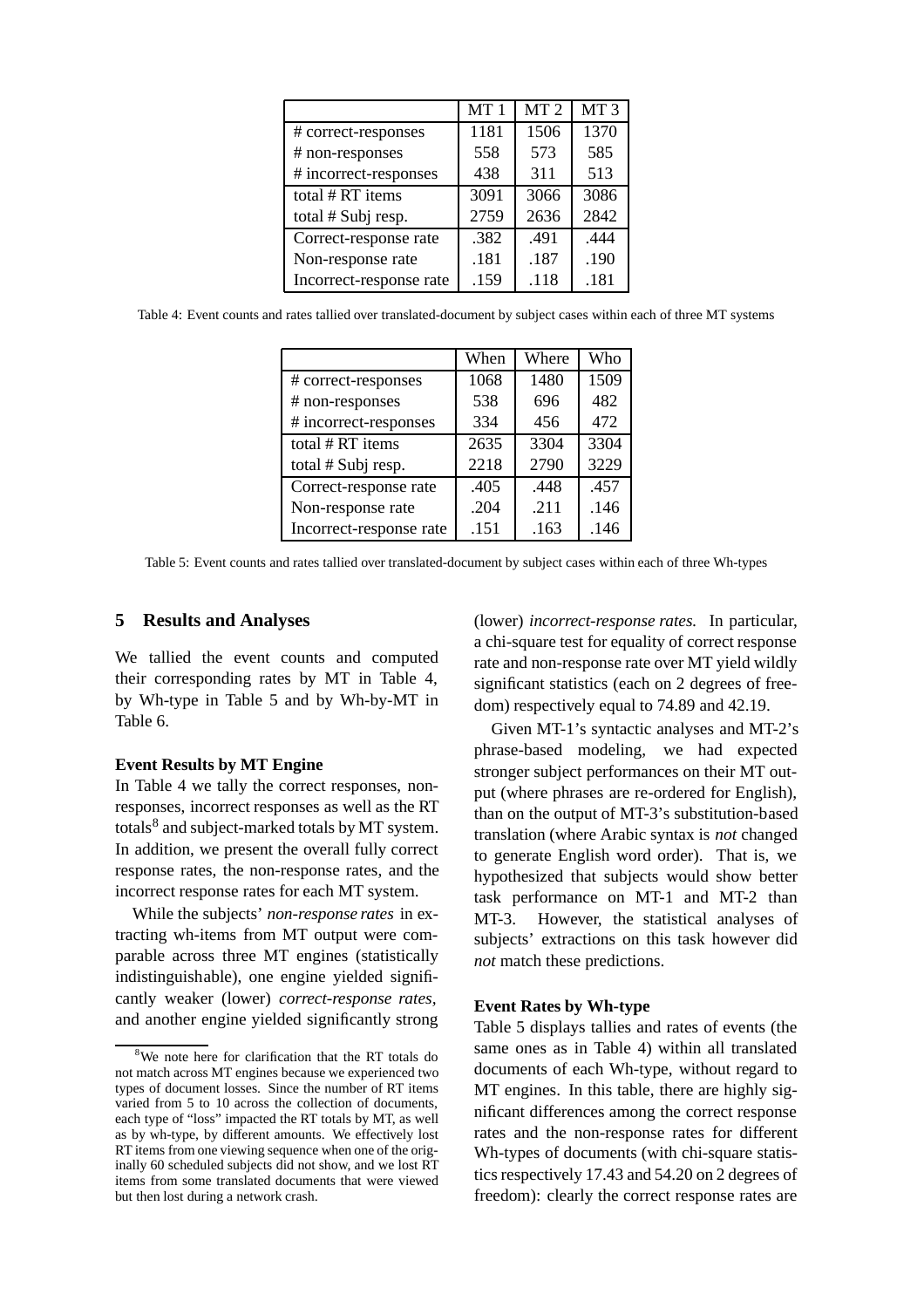|                         | MT <sub>1</sub> | MT <sub>2</sub> | MT <sub>3</sub> |
|-------------------------|-----------------|-----------------|-----------------|
| # correct-responses     | 1181            | 1506            | 1370            |
| # non-responses         | 558             | 573             | 585             |
| # incorrect-responses   | 438             | 311             | 513             |
| total # RT items        | 3091            | 3066            | 3086            |
| total # Subj resp.      | 2759            | 2636            | 2842            |
| Correct-response rate   | .382            | .491            | .444            |
| Non-response rate       | .181            | .187            | .190            |
| Incorrect-response rate | .159            | .118            | .181            |

Table 4: Event counts and rates tallied over translated-document by subject cases within each of three MT systems

|                         | When | Where | Who  |
|-------------------------|------|-------|------|
| # correct-responses     | 1068 | 1480  | 1509 |
| # non-responses         | 538  | 696   | 482  |
| # incorrect-responses   | 334  | 456   | 472  |
| total # RT items        | 2635 | 3304  | 3304 |
| total # Subj resp.      | 2218 | 2790  | 3229 |
| Correct-response rate   | .405 | .448  | .457 |
| Non-response rate       | .204 | .211  | .146 |
| Incorrect-response rate | .151 | .163  | .146 |

Table 5: Event counts and rates tallied over translated-document by subject cases within each of three Wh-types

## **5 Results and Analyses**

We tallied the event counts and computed their corresponding rates by MT in Table 4, by Wh-type in Table 5 and by Wh-by-MT in Table 6.

## **Event Results by MT Engine**

In Table 4 we tally the correct responses, nonresponses, incorrect responses as well as the RT totals $8$  and subject-marked totals by MT system. In addition, we present the overall fully correct response rates, the non-response rates, and the incorrect response rates for each MT system.

While the subjects' *non-response rates* in extracting wh-items from MT output were comparable across three MT engines (statistically indistinguishable), one engine yielded significantly weaker (lower) *correct-response rates,* and another engine yielded significantly strong

(lower) *incorrect-response rates.* In particular, a chi-square test for equality of correct response rate and non-response rate over MT yield wildly significant statistics (each on 2 degrees of freedom) respectively equal to 74.89 and 42.19.

Given MT-1's syntactic analyses and MT-2's phrase-based modeling, we had expected stronger subject performances on their MT output (where phrases are re-ordered for English), than on the output of MT-3's substitution-based translation (where Arabic syntax is *not* changed to generate English word order). That is, we hypothesized that subjects would show better task performance on MT-1 and MT-2 than MT-3. However, the statistical analyses of subjects' extractions on this task however did *not* match these predictions.

#### **Event Rates by Wh-type**

Table 5 displays tallies and rates of events (the same ones as in Table 4) within all translated documents of each Wh-type, without regard to MT engines. In this table, there are highly significant differences among the correct response rates and the non-response rates for different Wh-types of documents (with chi-square statistics respectively 17.43 and 54.20 on 2 degrees of freedom): clearly the correct response rates are

<sup>&</sup>lt;sup>8</sup>We note here for clarification that the RT totals do not match across MT engines because we experienced two types of document losses. Since the number of RT items varied from 5 to 10 across the collection of documents, each type of "loss" impacted the RT totals by MT, as well as by wh-type, by different amounts. We effectively lost RT items from one viewing sequence when one of the originally 60 scheduled subjects did not show, and we lost RT items from some translated documents that were viewed but then lost during a network crash.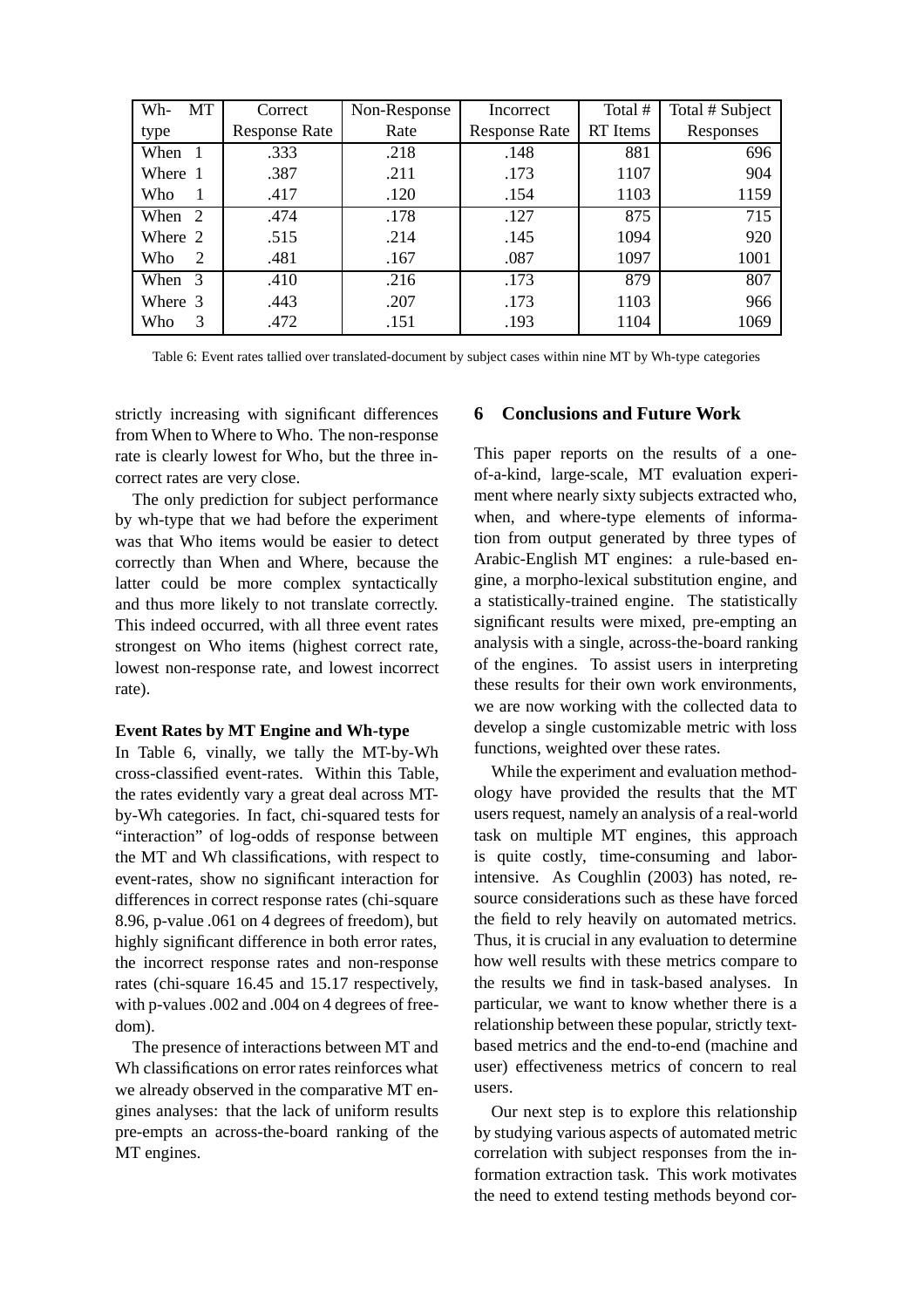| Wh-<br>МT | Correct              | Non-Response | Incorrect            | Total #  | Total # Subject |
|-----------|----------------------|--------------|----------------------|----------|-----------------|
| type      | <b>Response Rate</b> | Rate         | <b>Response Rate</b> | RT Items | Responses       |
| When 1    | .333                 | .218         | .148                 | 881      | 696             |
| Where 1   | .387                 | .211         | .173                 | 1107     | 904             |
| Who       | .417                 | .120         | .154                 | 1103     | 1159            |
| When 2    | .474                 | .178         | .127                 | 875      | 715             |
| Where 2   | .515                 | .214         | .145                 | 1094     | 920             |
| Who<br>2  | .481                 | .167         | .087                 | 1097     | 1001            |
| When 3    | .410                 | .216         | .173                 | 879      | 807             |
| Where 3   | .443                 | .207         | .173                 | 1103     | 966             |
| Who<br>3  | .472                 | .151         | .193                 | 1104     | 1069            |

Table 6: Event rates tallied over translated-document by subject cases within nine MT by Wh-type categories

strictly increasing with significant differences from When to Where to Who. The non-response rate is clearly lowest for Who, but the three incorrect rates are very close.

The only prediction for subject performance by wh-type that we had before the experiment was that Who items would be easier to detect correctly than When and Where, because the latter could be more complex syntactically and thus more likely to not translate correctly. This indeed occurred, with all three event rates strongest on Who items (highest correct rate, lowest non-response rate, and lowest incorrect rate).

## **Event Rates by MT Engine and Wh-type**

In Table 6, vinally, we tally the MT-by-Wh cross-classified event-rates. Within this Table, the rates evidently vary a great deal across MTby-Wh categories. In fact, chi-squared tests for "interaction" of log-odds of response between the MT and Wh classifications, with respect to event-rates, show no significant interaction for differences in correct response rates (chi-square 8.96, p-value .061 on 4 degrees of freedom), but highly significant difference in both error rates, the incorrect response rates and non-response rates (chi-square 16.45 and 15.17 respectively, with p-values .002 and .004 on 4 degrees of freedom).

The presence of interactions between MT and Wh classifications on error rates reinforces what we already observed in the comparative MT engines analyses: that the lack of uniform results pre-empts an across-the-board ranking of the MT engines.

# **6 Conclusions and Future Work**

This paper reports on the results of a oneof-a-kind, large-scale, MT evaluation experiment where nearly sixty subjects extracted who, when, and where-type elements of information from output generated by three types of Arabic-English MT engines: a rule-based engine, a morpho-lexical substitution engine, and a statistically-trained engine. The statistically significant results were mixed, pre-empting an analysis with a single, across-the-board ranking of the engines. To assist users in interpreting these results for their own work environments, we are now working with the collected data to develop a single customizable metric with loss functions, weighted over these rates.

While the experiment and evaluation methodology have provided the results that the MT users request, namely an analysis of a real-world task on multiple MT engines, this approach is quite costly, time-consuming and laborintensive. As Coughlin (2003) has noted, resource considerations such as these have forced the field to rely heavily on automated metrics. Thus, it is crucial in any evaluation to determine how well results with these metrics compare to the results we find in task-based analyses. In particular, we want to know whether there is a relationship between these popular, strictly textbased metrics and the end-to-end (machine and user) effectiveness metrics of concern to real users.

Our next step is to explore this relationship by studying various aspects of automated metric correlation with subject responses from the information extraction task. This work motivates the need to extend testing methods beyond cor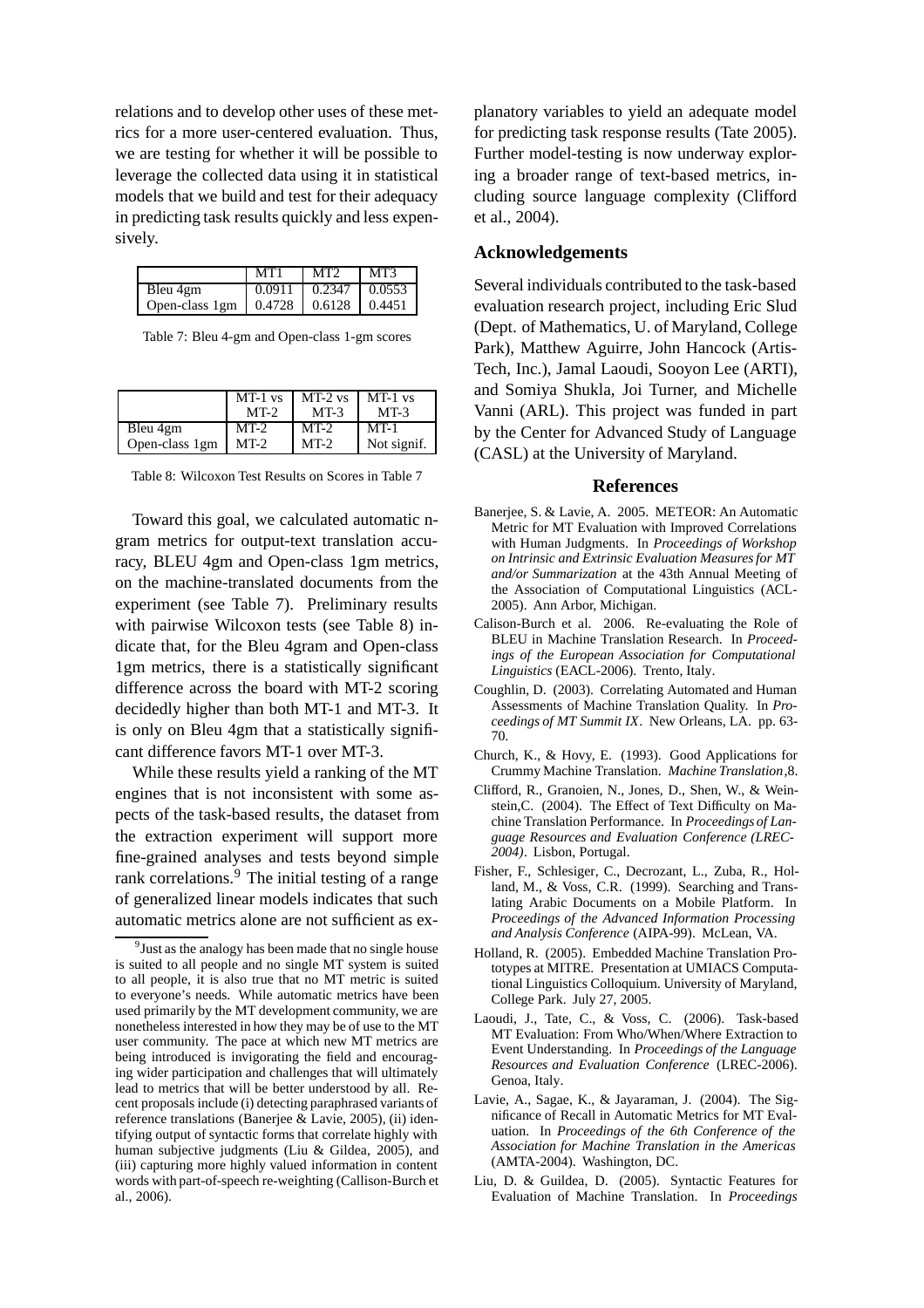relations and to develop other uses of these metrics for a more user-centered evaluation. Thus, we are testing for whether it will be possible to leverage the collected data using it in statistical models that we build and test for their adequacy in predicting task results quickly and less expensively.

|                                           | MT1 | LMT2                           | MT3 |
|-------------------------------------------|-----|--------------------------------|-----|
| Bleu 4gm                                  |     | $0.0911$   $0.2347$   $0.0553$ |     |
| Open-class 1gm   0.4728   0.6128   0.4451 |     |                                |     |

Table 7: Bleu 4-gm and Open-class 1-gm scores

|                | $MT-1$ vs<br>$MT-2$ | $MT-2$ vs<br>$MT-3$ | $MT-1$ vs<br>$MT-3$ |
|----------------|---------------------|---------------------|---------------------|
| Bleu 4gm       | $MT-2$              | $MT-2$              | $MT-1$              |
| Open-class 1gm | MT-2                | $MT-2$              | Not signif.         |

Table 8: Wilcoxon Test Results on Scores in Table 7

Toward this goal, we calculated automatic ngram metrics for output-text translation accuracy, BLEU 4gm and Open-class 1gm metrics, on the machine-translated documents from the experiment (see Table 7). Preliminary results with pairwise Wilcoxon tests (see Table 8) indicate that, for the Bleu 4gram and Open-class 1gm metrics, there is a statistically significant difference across the board with MT-2 scoring decidedly higher than both MT-1 and MT-3. It is only on Bleu 4gm that a statistically significant difference favors MT-1 over MT-3.

While these results yield a ranking of the MT engines that is not inconsistent with some aspects of the task-based results, the dataset from the extraction experiment will support more fine-grained analyses and tests beyond simple rank correlations.<sup>9</sup> The initial testing of a range of generalized linear models indicates that such automatic metrics alone are not sufficient as explanatory variables to yield an adequate model for predicting task response results (Tate 2005). Further model-testing is now underway exploring a broader range of text-based metrics, including source language complexity (Clifford et al., 2004).

## **Acknowledgements**

Several individuals contributed to the task-based evaluation research project, including Eric Slud (Dept. of Mathematics, U. of Maryland, College Park), Matthew Aguirre, John Hancock (Artis-Tech, Inc.), Jamal Laoudi, Sooyon Lee (ARTI), and Somiya Shukla, Joi Turner, and Michelle Vanni (ARL). This project was funded in part by the Center for Advanced Study of Language (CASL) at the University of Maryland.

#### **References**

- Banerjee, S. & Lavie, A. 2005. METEOR: An Automatic Metric for MT Evaluation with Improved Correlations with Human Judgments. In *Proceedings of Workshop on Intrinsic and Extrinsic Evaluation Measures for MT and/or Summarization* at the 43th Annual Meeting of the Association of Computational Linguistics (ACL-2005). Ann Arbor, Michigan.
- Calison-Burch et al. 2006. Re-evaluating the Role of BLEU in Machine Translation Research. In *Proceedings of the European Association for Computational Linguistics* (EACL-2006). Trento, Italy.
- Coughlin, D. (2003). Correlating Automated and Human Assessments of Machine Translation Quality. In *Proceedings of MT Summit IX*. New Orleans, LA. pp. 63- 70.
- Church, K., & Hovy, E. (1993). Good Applications for Crummy Machine Translation. *Machine Translation*,8.
- Clifford, R., Granoien, N., Jones, D., Shen, W., & Weinstein,C. (2004). The Effect of Text Difficulty on Machine Translation Performance. In *Proceedings of Language Resources and Evaluation Conference (LREC-2004)*. Lisbon, Portugal.
- Fisher, F., Schlesiger, C., Decrozant, L., Zuba, R., Holland, M., & Voss, C.R. (1999). Searching and Translating Arabic Documents on a Mobile Platform. In *Proceedings of the Advanced Information Processing and Analysis Conference* (AIPA-99). McLean, VA.
- Holland, R. (2005). Embedded Machine Translation Prototypes at MITRE. Presentation at UMIACS Computational Linguistics Colloquium. University of Maryland, College Park. July 27, 2005.
- Laoudi, J., Tate, C., & Voss, C. (2006). Task-based MT Evaluation: From Who/When/Where Extraction to Event Understanding. In *Proceedings of the Language Resources and Evaluation Conference* (LREC-2006). Genoa, Italy.
- Lavie, A., Sagae, K., & Jayaraman, J. (2004). The Significance of Recall in Automatic Metrics for MT Evaluation. In *Proceedings of the 6th Conference of the Association for Machine Translation in the Americas* (AMTA-2004). Washington, DC.
- Liu, D. & Guildea, D. (2005). Syntactic Features for Evaluation of Machine Translation. In *Proceedings*

<sup>&</sup>lt;sup>9</sup> Just as the analogy has been made that no single house is suited to all people and no single MT system is suited to all people, it is also true that no MT metric is suited to everyone's needs. While automatic metrics have been used primarily by the MT development community, we are nonetheless interested in how they may be of use to the MT user community. The pace at which new MT metrics are being introduced is invigorating the field and encouraging wider participation and challenges that will ultimately lead to metrics that will be better understood by all. Recent proposals include (i) detecting paraphrased variants of reference translations (Banerjee & Lavie, 2005), (ii) identifying output of syntactic forms that correlate highly with human subjective judgments (Liu & Gildea, 2005), and (iii) capturing more highly valued information in content words with part-of-speech re-weighting (Callison-Burch et al., 2006).